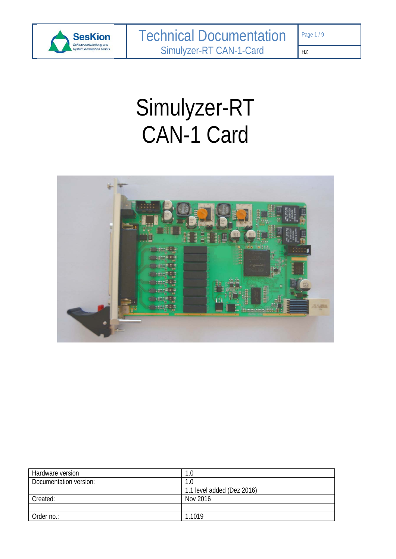

# Simulyzer-RT CAN-1 Card



| Hardware version       | l.O                        |
|------------------------|----------------------------|
| Documentation version: | 1.0                        |
|                        | 1.1 level added (Dez 2016) |
| Created:               | Nov 2016                   |
|                        |                            |
| Order no.:             | 1.1019                     |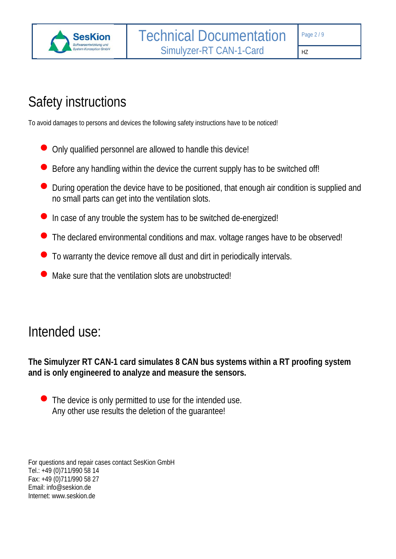

# Safety instructions

To avoid damages to persons and devices the following safety instructions have to be noticed!

- Only qualified personnel are allowed to handle this device!
- Before any handling within the device the current supply has to be switched off!
- During operation the device have to be positioned, that enough air condition is supplied and no small parts can get into the ventilation slots.
- In case of any trouble the system has to be switched de-energized!
- The declared environmental conditions and max. voltage ranges have to be observed!
- To warranty the device remove all dust and dirt in periodically intervals.
- Make sure that the ventilation slots are unobstructed!

# Intended use:

**The Simulyzer RT CAN-1 card simulates 8 CAN bus systems within a RT proofing system and is only engineered to analyze and measure the sensors.** 

 The device is only permitted to use for the intended use. Any other use results the deletion of the guarantee!

For questions and repair cases contact SesKion GmbH Tel.: +49 (0)711/990 58 14 Fax: +49 (0)711/990 58 27 Email: info@seskion.de Internet: www.seskion.de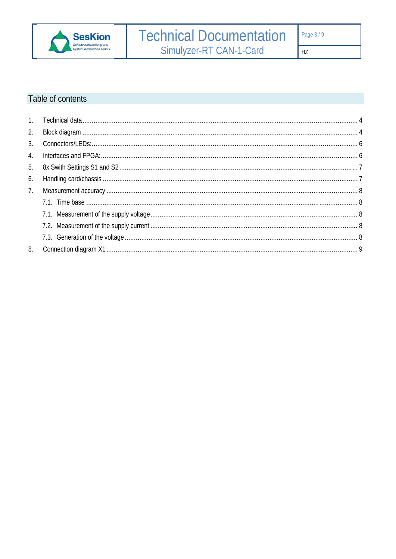

 $HZ$ 

# Table of contents

| 2. |  |
|----|--|
|    |  |
| 4. |  |
|    |  |
| 6. |  |
| 7. |  |
|    |  |
|    |  |
|    |  |
|    |  |
| 8. |  |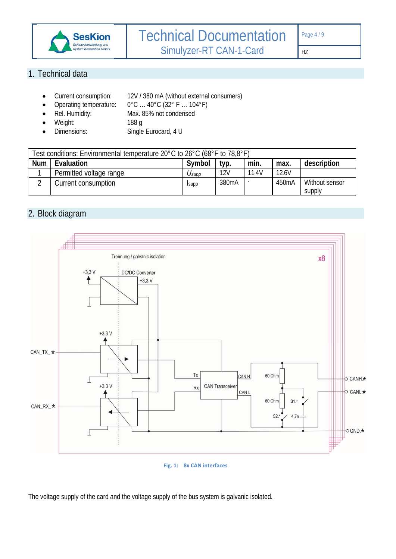

# 1. Technical data

- Current consumption: 12V / 380 mA (without external consumers)
	- Operating temperature: 0°C ... 40°C (32° F ... 104°F)<br>Rel. Humidity: Max. 85% not condensed Max. 85% not condensed
- 
- Weight: 188 g
- Dimensions: Single Eurocard, 4 U

| Test conditions: Environmental temperature 20°C to 26°C (68°F to 78,8°F) |                                                             |       |                    |       |                    |                |  |  |
|--------------------------------------------------------------------------|-------------------------------------------------------------|-------|--------------------|-------|--------------------|----------------|--|--|
| <b>Num</b>                                                               | description<br>Evaluation<br>Symbol<br>min.<br>typ.<br>max. |       |                    |       |                    |                |  |  |
|                                                                          | Permitted voltage range                                     | Usupp | 12V                | 11.4V | 12.6V              |                |  |  |
|                                                                          | Current consumption                                         | Isupp | 380 <sub>m</sub> A |       | 450 <sub>m</sub> A | Without sensor |  |  |
|                                                                          |                                                             |       |                    |       |                    | supply         |  |  |

# 2. Block diagram



**Fig. 1: 8x CAN interfaces**

The voltage supply of the card and the voltage supply of the bus system is galvanic isolated.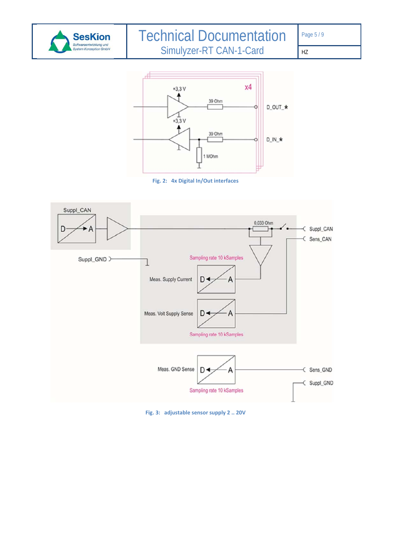



**Fig. 2: 4x Digital In/Out interfaces**



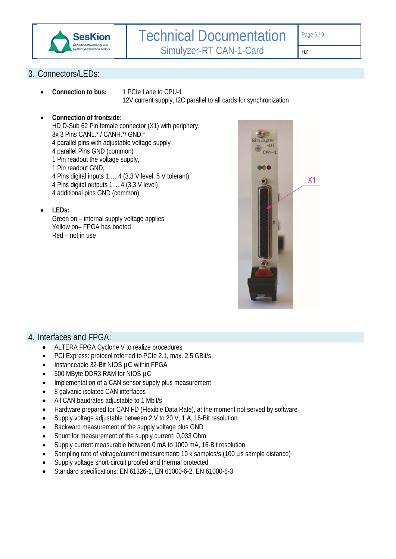

HZ

# 3. Connectors/LEDs:

 **Connection to bus:** 1 PCIe Lane to CPU-1 12V current supply, I2C parallel to all cards for synchronization

#### **Connection of frontside:**

HD D-Sub 62 Pin female connector (X1) with periphery. 8x 3 Pins CANL.\* / CANH.\*/ GND.\*, 4 parallel pins with adjustable voltage supply 4 parallel Pins GND (common) 1 Pin readout the voltage supply, 1 Pin readout GND, 4 Pins digital inputs 1 … 4 (3,3 V level, 5 V tolerant) 4 Pins digital outputs 1 ... 4 (3,3 V level)

- 4 additional pins GND (common)
- **LEDs:**

Green on – internal supply voltage applies Yellow on– FPGA has booted Red – not in use



#### 4. Interfaces and FPGA:

- ALTERA FPGA Cyclone V to realize procedures
- PCI Express: protocol referred to PCIe 2.1, max. 2,5 GBit/s
- Instanceable 32-Bit NIOS µC within FPGA
- 500 MByte DDR3 RAM for NIOS µC
- Implementation of a CAN sensor supply plus measurement
- 8 galvanic isolated CAN interfaces
- All CAN baudrates adjustable to 1 Mbit/s
- Hardware prepared for CAN FD (Flexible Data Rate), at the moment not served by software
- Supply voltage adjustable between 2 V to 20 V, 1 A, 16-Bit resolution
- Backward measurement of the supply voltage plus GND
- Shunt for measurement of the supply current: 0,033 Ohm
- Supply current measurable between 0 mA to 1000 mA, 16-Bit resolution
- Sampling rate of voltage/current measurement: 10 k samples/s (100 µs sample distance)
- Supply voltage short-circuit proofed and thermal protected
- Standard specifications: EN 61326-1, EN 61000-6-2, EN 61000-6-3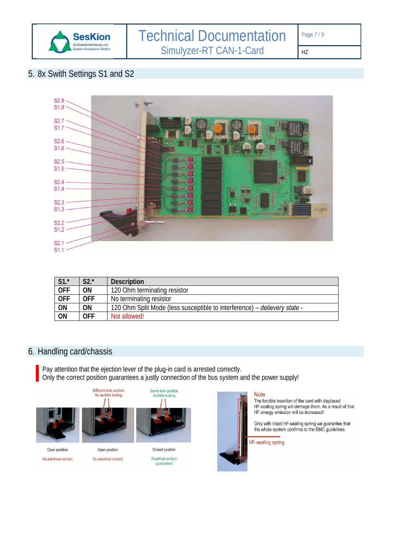

#### HZ

# 5. 8x Swith Settings S1 and S2



| $S1.*$          | $S2.*$     | Description                                                               |
|-----------------|------------|---------------------------------------------------------------------------|
| <b>OFF</b>      | ΟN         | 120 Ohm terminating resistor                                              |
| <b>OFF</b>      | <b>OFF</b> | No terminating resistor                                                   |
| ON              | ON         | 120 Ohm Split Mode (less susceptible to interference) – delievery state - |
| $\overline{ON}$ | <b>OFF</b> | Not allowed!                                                              |

# 6. Handling card/chassis

Pay attention that the ejection lever of the plug-in card is arrested correctly. Only the correct position guarantees a justly connection of the bus system and the power supply!









**Note** 

The forcible insertion of the card with displaced HF-sealing spring will demage them. As a result of that HF energy emission will be increased!

Only with intact HF-sealing spring we guarantee that<br>the whole system confirms to the EMC guidelines.

**HF-sealing spring** 

Open position No electrical contact

Open position No electrical contact

Closed position Electrical contact quaranteed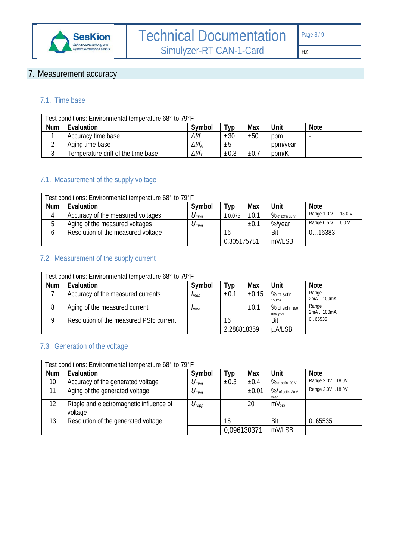

# 7. Measurement accuracy

# 7.1. Time base

| Test conditions: Environmental temperature 68° to 79°F |                                    |                   |           |           |          |             |
|--------------------------------------------------------|------------------------------------|-------------------|-----------|-----------|----------|-------------|
| <b>Num</b>                                             | Evaluation                         | Symbol            | ™ур       | Max       | Unit     | <b>Note</b> |
|                                                        | Accuracy time base                 | $\Delta f/f$      | ±30       | ±50       | ppm      |             |
|                                                        | Aging time base                    | $\Delta f/f_A$    | $\pm 5$   |           | ppm/year |             |
|                                                        | Temperature drift of the time base | $\Delta f/f_\tau$ | $\pm 0.3$ | $\pm 0.7$ | ppm/K    |             |

# 7.1. Measurement of the supply voltage

| Test conditions: Environmental temperature 68° to 79°F |                                    |           |             |      |                 |                     |
|--------------------------------------------------------|------------------------------------|-----------|-------------|------|-----------------|---------------------|
| <b>Num</b>                                             | Evaluation                         | Symbol    | Тур         | Max  | Unit            | <b>Note</b>         |
| 4                                                      | Accuracy of the measured voltages  | $U_{mea}$ | ±0.075      | ±0.1 | % of scfin 20 V | Range 1.0 V  18.0 V |
| 5                                                      | Aging of the measured voltages     | $U_{mea}$ |             | ±0.1 | %/year          | Range 0.5 V  6.0 V  |
|                                                        | Resolution of the measured voltage |           | 16          |      | Bit             | 016383              |
|                                                        |                                    |           | 0,305175781 |      | mV/LSB          |                     |

# 7.2. Measurement of the supply current

| Test conditions: Environmental temperature 68° to 79°F |                                         |        |             |            |                                  |                     |
|--------------------------------------------------------|-----------------------------------------|--------|-------------|------------|----------------------------------|---------------------|
| <b>Num</b>                                             | Evaluation                              | Symbol | ™ур         | Max        | Unit                             | <b>Note</b>         |
|                                                        | Accuracy of the measured currents       | Imea   | ±0.1        | $\pm 0.15$ | % of scfin<br>150 <sub>m</sub> A | Range<br>2mA  100mA |
| 8                                                      | Aging of the measured current           | Imea   |             | $\pm 0.1$  | % of scfin 150<br>mA/ year       | Range<br>2mA  100mA |
| 0                                                      | Resolution of the measured PSI5 current |        | 16          |            | Bit                              | 0.65535             |
|                                                        |                                         |        | 2,288818359 |            | <b>µA/LSB</b>                    |                     |

# 7.3. Generation of the voltage

| Test conditions: Environmental temperature 68° to 79°F |                                                    |                     |             |            |                         |                 |
|--------------------------------------------------------|----------------------------------------------------|---------------------|-------------|------------|-------------------------|-----------------|
| <b>Num</b>                                             | Evaluation                                         | Symbol              | Typ         | Max        | Unit                    | <b>Note</b>     |
| 10                                                     | Accuracy of the generated voltage                  | $U_{mea}$           | ±0.3        | ±0.4       | % of scfin 20 V         | Range 2.0V18.0V |
| 11                                                     | Aging of the generated voltage                     | $U_{mea}$           |             | $\pm 0.01$ | % of scfin 20 V<br>year | Range 2.0V18.0V |
| 12                                                     | Ripple and electromagnetic influence of<br>voltage | $U_{\mathsf{Ripp}}$ |             | 20         | $mV_{SS}$               |                 |
| 13                                                     | Resolution of the generated voltage                |                     | 16          |            | Bit                     | 0.65535         |
|                                                        |                                                    |                     | 0,096130371 |            | mV/LSB                  |                 |